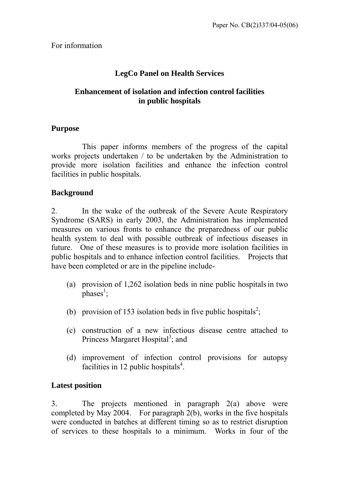## **LegCo Panel on Health Services**

#### **Enhancement of isolation and infection control facilities in public hospitals**

#### **Purpose**

 This paper informs members of the progress of the capital works projects undertaken / to be undertaken by the Administration to provide more isolation facilities and enhance the infection control facilities in public hospitals.

### **Background**

2. In the wake of the outbreak of the Severe Acute Respiratory Syndrome (SARS) in early 2003, the Administration has implemented measures on various fronts to enhance the preparedness of our public health system to deal with possible outbreak of infectious diseases in future. One of these measures is to provide more isolation facilities in public hospitals and to enhance infection control facilities. Projects that have been completed or are in the pipeline include-

- (a) provision of  $1,262$  isolation beds in nine public hospitals in two  $phases<sup>1</sup>$ ;
- (b) provision of 153 isolation beds in five public hospitals<sup>2</sup>;
- (c) construction of a new infectious disease centre attached to Princess Margaret Hospital<sup>3</sup>; and
- (d) improvement of infection control provisions for autopsy facilities in 12 public hospitals $4$ .

### **Latest position**

3. The projects mentioned in paragraph 2(a) above were completed by May 2004. For paragraph 2(b), works in the five hospitals were conducted in batches at different timing so as to restrict disruption of services to these hospitals to a minimum. Works in four of the